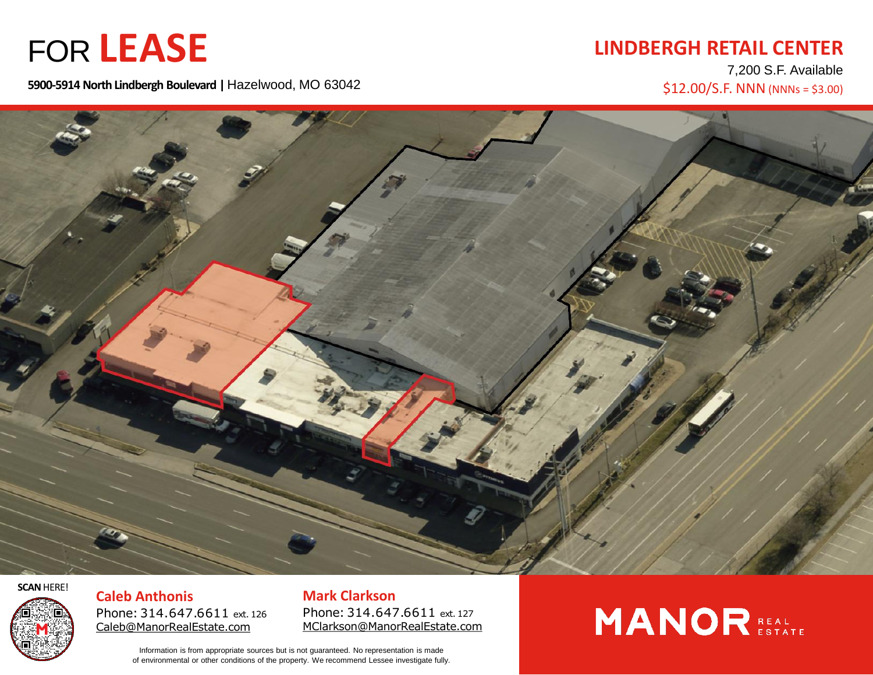### FOR **LEASE**

### **LINDBERGH RETAIL CENTER**

7,200 S.F. Available  $$12.00/S.F. NNN (NNNs = $3.00)$ 

**5900-5914 North Lindbergh Boulevard |** Hazelwood, MO 63042



**SCAN** HERE!



**Caleb Anthonis** Phone: 314.647.6611 ext. 126 [Caleb@ManorRealEstate.com](mailto:Caleb@manorrealestate.com)

**Mark Clarkson** Phone: 314.647.6611 ext. 127 [MClarkson@ManorRealEstate.com](mailto:Caleb@ManorRealEstate.com)

Information is from appropriate sources but is not guaranteed. No representation is made of environmental or other conditions of the property. We recommend Lessee investigate fully.

## **MANOR** REAL